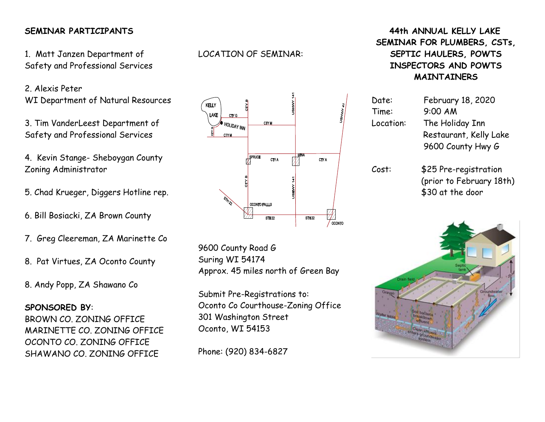## **SEMINAR PARTICIPANTS**

1. Matt Janzen Department of Safety and Professional Services

2. Alexis Peter WI Department of Natural Resources

3. Tim VanderLeest Department of Safety and Professional Services

4. Kevin Stange- Sheboygan County Zoning Administrator

5. Chad Krueger, Diggers Hotline rep.

6. Bill Bosiacki, ZA Brown County

7. Greg Cleereman, ZA Marinette Co

8. Pat Virtues, ZA Oconto County

8. Andy Popp, ZA Shawano Co

**SPONSORED BY**: BROWN CO. ZONING OFFICE MARINETTE CO. ZONING OFFICE OCONTO CO. ZONING OFFICE SHAWANO CO. ZONING OFFICE

LOCATION OF SEMINAR:



9600 County Road G Suring WI 54174 Approx. 45 miles north of Green Bay

Submit Pre-Registrations to: Oconto Co Courthouse-Zoning Office 301 Washington Street Oconto, WI 54153

Phone: (920) 834-6827

## **44th ANNUAL KELLY LAKE SEMINAR FOR PLUMBERS, CSTs, SEPTIC HAULERS, POWTS INSPECTORS AND POWTS MAINTAINERS**

| Date:     | February 18, 2020        |  |
|-----------|--------------------------|--|
| Time:     | 9:00 AM                  |  |
| Location: | The Holiday Inn          |  |
|           | Restaurant, Kelly Lake   |  |
|           | 9600 County Hwy G        |  |
| Cost:     | \$25 Pre-registration    |  |
|           | (prior to February 18th) |  |
|           | \$30 at the door         |  |